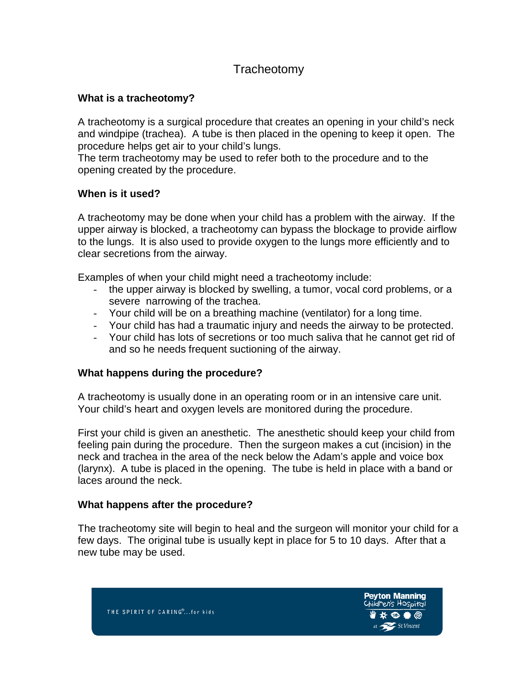# **Tracheotomy**

# **What is a tracheotomy?**

A tracheotomy is a surgical procedure that creates an opening in your child's neck and windpipe (trachea). A tube is then placed in the opening to keep it open. The procedure helps get air to your child's lungs.

The term tracheotomy may be used to refer both to the procedure and to the opening created by the procedure.

# **When is it used?**

A tracheotomy may be done when your child has a problem with the airway. If the upper airway is blocked, a tracheotomy can bypass the blockage to provide airflow to the lungs. It is also used to provide oxygen to the lungs more efficiently and to clear secretions from the airway.

Examples of when your child might need a tracheotomy include:

- the upper airway is blocked by swelling, a tumor, vocal cord problems, or a severe narrowing of the trachea.
- Your child will be on a breathing machine (ventilator) for a long time.
- Your child has had a traumatic injury and needs the airway to be protected.
- Your child has lots of secretions or too much saliva that he cannot get rid of and so he needs frequent suctioning of the airway.

## **What happens during the procedure?**

A tracheotomy is usually done in an operating room or in an intensive care unit. Your child's heart and oxygen levels are monitored during the procedure.

First your child is given an anesthetic. The anesthetic should keep your child from feeling pain during the procedure. Then the surgeon makes a cut (incision) in the neck and trachea in the area of the neck below the Adam's apple and voice box (larynx). A tube is placed in the opening. The tube is held in place with a band or laces around the neck.

## **What happens after the procedure?**

The tracheotomy site will begin to heal and the surgeon will monitor your child for a few days. The original tube is usually kept in place for 5 to 10 days. After that a new tube may be used.